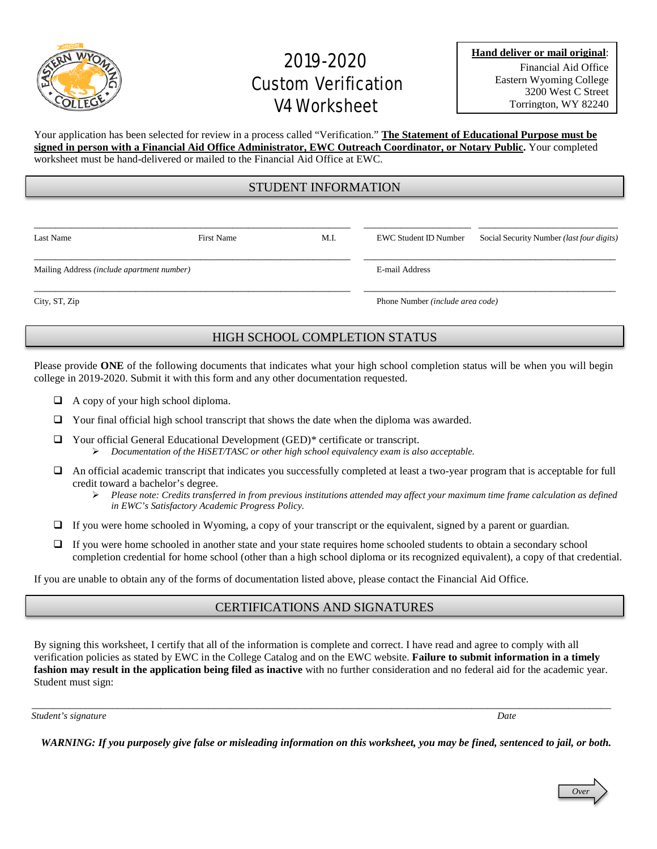

# 2019-2020 Custom Verification V4 Worksheet

Your application has been selected for review in a process called "Verification." **The Statement of Educational Purpose must be signed in person with a Financial Aid Office Administrator, EWC Outreach Coordinator, or Notary Public.** Your completed worksheet must be hand-delivered or mailed to the Financial Aid Office at EWC.

## STUDENT INFORMATION

\_\_\_\_\_\_\_\_\_\_\_\_\_\_\_\_\_\_\_\_\_\_\_\_\_\_\_\_\_\_\_\_\_\_\_\_\_\_\_\_\_\_\_\_\_\_\_\_\_\_\_\_\_\_\_\_\_\_\_ \_\_\_\_\_\_\_\_\_\_\_\_\_\_\_\_\_\_\_\_ \_\_\_\_\_\_\_\_\_\_\_\_\_\_\_\_\_\_\_\_\_\_\_\_\_\_

Last Name First Name M.I. EWC Student ID Number Social Security Number *(last four digits)* \_\_\_\_\_\_\_\_\_\_\_\_\_\_\_\_\_\_\_\_\_\_\_\_\_\_\_\_\_\_\_\_\_\_\_\_\_\_\_\_\_\_\_\_\_\_\_\_\_\_\_\_\_\_\_\_\_\_\_ \_\_\_\_\_\_\_\_\_\_\_\_\_\_\_\_\_\_\_\_\_\_\_\_\_\_\_\_\_\_\_\_\_\_\_\_\_\_\_\_\_\_\_\_\_\_\_ Mailing Address *(include apartment number)* E-mail Address \_\_\_\_\_\_\_\_\_\_\_\_\_\_\_\_\_\_\_\_\_\_\_\_\_\_\_\_\_\_\_\_\_\_\_\_\_\_\_\_\_\_\_\_\_\_\_\_\_\_\_\_\_\_\_\_\_\_\_ \_\_\_\_\_\_\_\_\_\_\_\_\_\_\_\_\_\_\_\_\_\_\_\_\_\_\_\_\_\_\_\_\_\_\_\_\_\_\_\_\_\_\_\_\_\_\_

City, ST, Zip Phone Number *(include area code)*

# HIGH SCHOOL COMPLETION STATUS

Please provide ONE of the following documents that indicates what your high school completion status will be when you will begin college in 2019-2020. Submit it with this form and any other documentation requested.

- $\Box$  A copy of your high school diploma.
- $\Box$  Your final official high school transcript that shows the date when the diploma was awarded.
- Your official General Educational Development (GED)\* certificate or transcript. *Documentation of the HiSET/TASC or other high school equivalency exam is also acceptable.*
- An official academic transcript that indicates you successfully completed at least a two-year program that is acceptable for full credit toward a bachelor's degree.
	- *Please note: Credits transferred in from previous institutions attended may affect your maximum time frame calculation as defined in EWC's Satisfactory Academic Progress Policy.*
- If you were home schooled in Wyoming, a copy of your transcript or the equivalent, signed by a parent or guardian*.*
- $\Box$  If you were home schooled in another state and your state requires home schooled students to obtain a secondary school completion credential for home school (other than a high school diploma or its recognized equivalent), a copy of that credential.

If you are unable to obtain any of the forms of documentation listed above, please contact the Financial Aid Office.

#### CERTIFICATIONS AND SIGNATURES

By signing this worksheet, I certify that all of the information is complete and correct. I have read and agree to comply with all verification policies as stated by EWC in the College Catalog and on the EWC website. **Failure to submit information in a timely fashion may result in the application being filed as inactive** with no further consideration and no federal aid for the academic year. Student must sign:

\_\_\_\_\_\_\_\_\_\_\_\_\_\_\_\_\_\_\_\_\_\_\_\_\_\_\_\_\_\_\_\_\_\_\_\_\_\_\_\_\_\_\_\_\_\_\_\_\_\_\_\_\_\_\_\_\_\_\_\_\_\_\_\_\_\_\_\_\_\_\_\_\_\_\_\_\_\_\_\_\_\_\_\_\_\_\_\_\_\_\_\_\_\_\_\_\_\_\_\_\_\_\_\_\_\_\_\_ *Student's signature Date* 

*WARNING: If you purposely give false or misleading information on this worksheet, you may be fined, sentenced to jail, or both.*